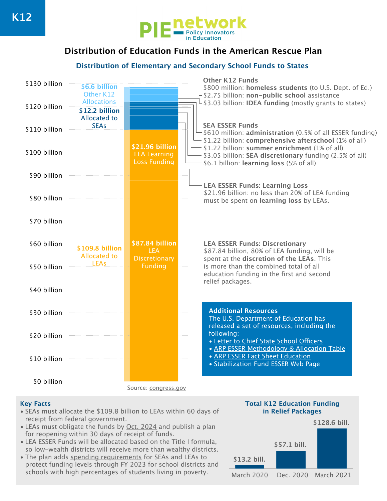

# **Distribution of Education Funds in the American Rescue Plan**

### **Distribution of Elementary and Secondary School Funds to States**



### **Key Facts**

- SEAs must allocate the \$109.8 billion to LEAs within 60 days of receipt from federal government.
- LEAs must obligate the funds by [Oct. 2024](https://www.chalkbeat.org/2021/3/12/22328181/schools-stimulus-money-questions) and publish a plan for reopening within 30 days of receipt of funds.
- LEA ESSER Funds will be allocated based on the Title I formula, so low-wealth districts will receive more than wealthy districts.
- The plan adds [spending requirements](https://www.congress.gov/bill/117th-congress/house-bill/1319/text#H31294D91FCEC491E942273E49B8FD017) for SEAs and LEAs to protect funding levels through FY 2023 for school districts and schools with high percentages of students living in poverty.

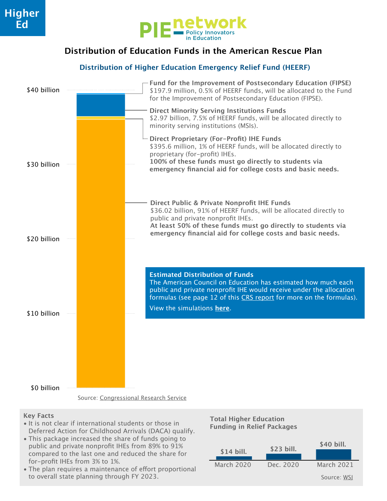

## **Distribution of Education Funds in the American Rescue Plan**

### **Distribution of Higher Education Emergency Relief Fund (HEERF)**



### **Key Facts**

- It is not clear if international students or those in Deferred Action for Childhood Arrivals (DACA) qualify.
- This package increased the share of funds going to public and private nonprofit IHEs from 89% to 91% compared to the last one and reduced the share for for-profit IHEs from 3% to 1%.
- The plan requires a maintenance of effort proportional to overall state planning through FY 2023.



**Total Higher Education Funding in Relief Packages**